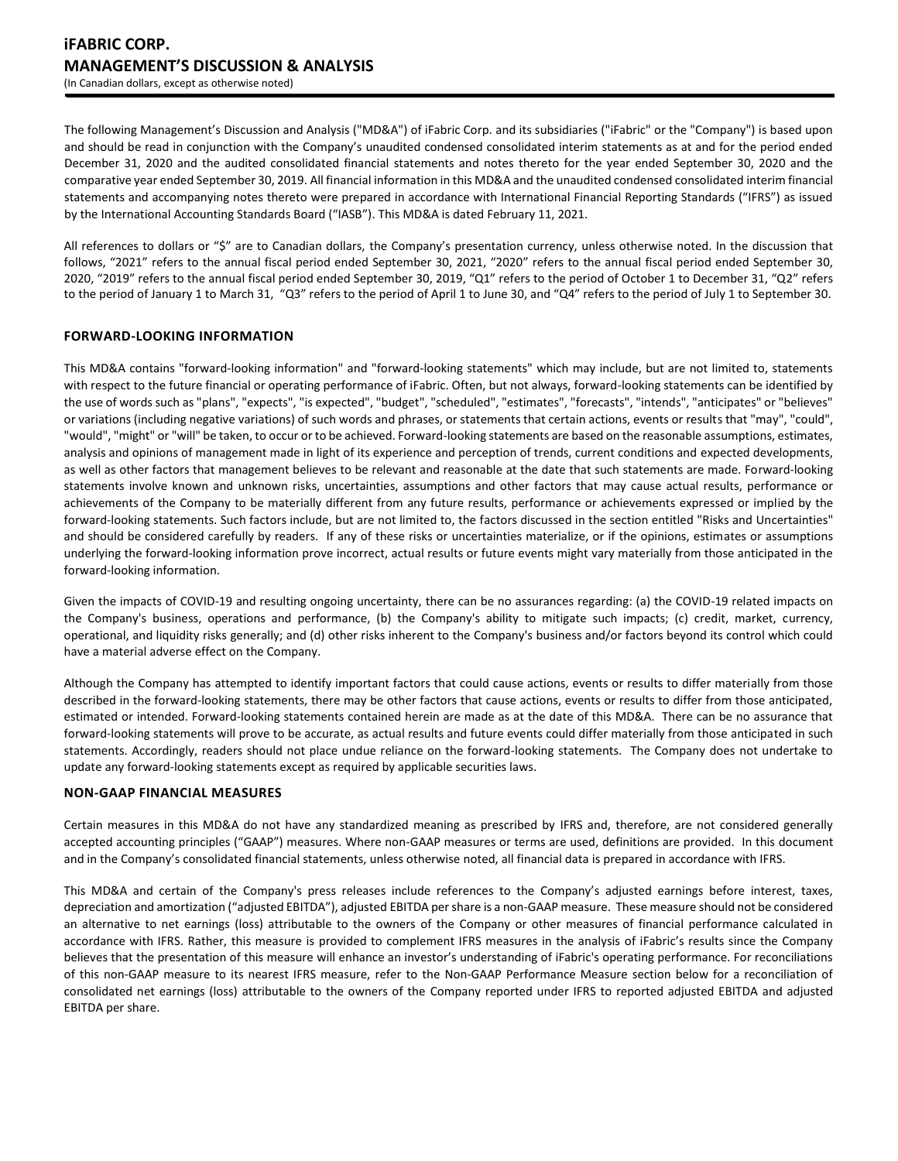The following Management's Discussion and Analysis ("MD&A") of iFabric Corp. and its subsidiaries ("iFabric" or the "Company") is based upon and should be read in conjunction with the Company's unaudited condensed consolidated interim statements as at and for the period ended December 31, 2020 and the audited consolidated financial statements and notes thereto for the year ended September 30, 2020 and the comparative year ended September 30, 2019. All financial information in this MD&A and the unaudited condensed consolidated interim financial statements and accompanying notes thereto were prepared in accordance with International Financial Reporting Standards ("IFRS") as issued by the International Accounting Standards Board ("IASB"). This MD&A is dated February 11, 2021.

All references to dollars or "\$" are to Canadian dollars, the Company's presentation currency, unless otherwise noted. In the discussion that follows, "2021" refers to the annual fiscal period ended September 30, 2021, "2020" refers to the annual fiscal period ended September 30, 2020, "2019" refers to the annual fiscal period ended September 30, 2019, "Q1" refers to the period of October 1 to December 31, "Q2" refers to the period of January 1 to March 31, "Q3" refers to the period of April 1 to June 30, and "Q4" refers to the period of July 1 to September 30.

## **FORWARD-LOOKING INFORMATION**

This MD&A contains "forward-looking information" and "forward-looking statements" which may include, but are not limited to, statements with respect to the future financial or operating performance of iFabric. Often, but not always, forward-looking statements can be identified by the use of words such as "plans", "expects", "is expected", "budget", "scheduled", "estimates", "forecasts", "intends", "anticipates" or "believes" or variations (including negative variations) of such words and phrases, or statements that certain actions, events or results that "may", "could", "would", "might" or "will" be taken, to occur or to be achieved. Forward-looking statements are based on the reasonable assumptions, estimates, analysis and opinions of management made in light of its experience and perception of trends, current conditions and expected developments, as well as other factors that management believes to be relevant and reasonable at the date that such statements are made. Forward-looking statements involve known and unknown risks, uncertainties, assumptions and other factors that may cause actual results, performance or achievements of the Company to be materially different from any future results, performance or achievements expressed or implied by the forward-looking statements. Such factors include, but are not limited to, the factors discussed in the section entitled "Risks and Uncertainties" and should be considered carefully by readers. If any of these risks or uncertainties materialize, or if the opinions, estimates or assumptions underlying the forward-looking information prove incorrect, actual results or future events might vary materially from those anticipated in the forward-looking information.

Given the impacts of COVID-19 and resulting ongoing uncertainty, there can be no assurances regarding: (a) the COVID-19 related impacts on the Company's business, operations and performance, (b) the Company's ability to mitigate such impacts; (c) credit, market, currency, operational, and liquidity risks generally; and (d) other risks inherent to the Company's business and/or factors beyond its control which could have a material adverse effect on the Company.

Although the Company has attempted to identify important factors that could cause actions, events or results to differ materially from those described in the forward-looking statements, there may be other factors that cause actions, events or results to differ from those anticipated, estimated or intended. Forward-looking statements contained herein are made as at the date of this MD&A. There can be no assurance that forward-looking statements will prove to be accurate, as actual results and future events could differ materially from those anticipated in such statements. Accordingly, readers should not place undue reliance on the forward-looking statements. The Company does not undertake to update any forward-looking statements except as required by applicable securities laws.

## **NON-GAAP FINANCIAL MEASURES**

Certain measures in this MD&A do not have any standardized meaning as prescribed by IFRS and, therefore, are not considered generally accepted accounting principles ("GAAP") measures. Where non-GAAP measures or terms are used, definitions are provided. In this document and in the Company's consolidated financial statements, unless otherwise noted, all financial data is prepared in accordance with IFRS.

This MD&A and certain of the Company's press releases include references to the Company's adjusted earnings before interest, taxes, depreciation and amortization ("adjusted EBITDA"), adjusted EBITDA per share is a non-GAAP measure. These measure should not be considered an alternative to net earnings (loss) attributable to the owners of the Company or other measures of financial performance calculated in accordance with IFRS. Rather, this measure is provided to complement IFRS measures in the analysis of iFabric's results since the Company believes that the presentation of this measure will enhance an investor's understanding of iFabric's operating performance. For reconciliations of this non-GAAP measure to its nearest IFRS measure, refer to the Non-GAAP Performance Measure section below for a reconciliation of consolidated net earnings (loss) attributable to the owners of the Company reported under IFRS to reported adjusted EBITDA and adjusted EBITDA per share.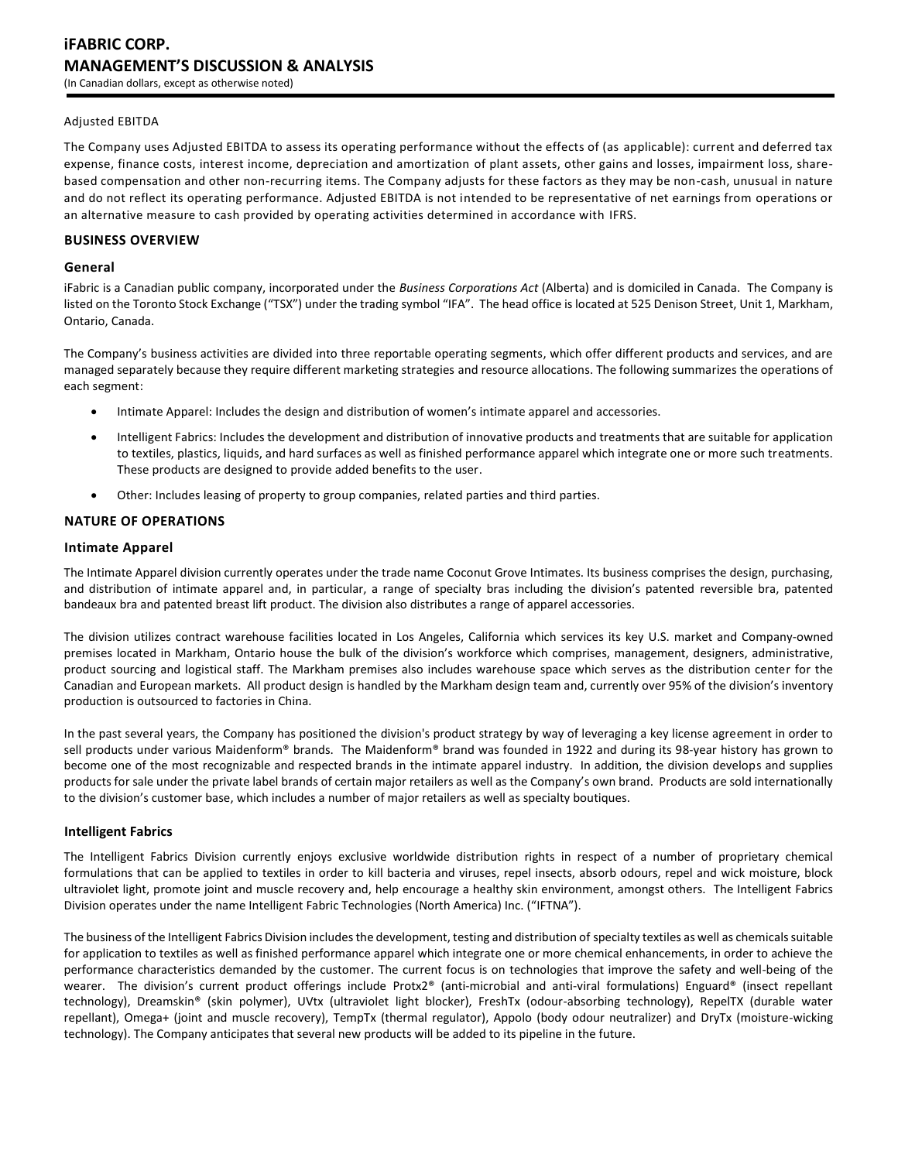## Adjusted EBITDA

The Company uses Adjusted EBITDA to assess its operating performance without the effects of (as applicable): current and deferred tax expense, finance costs, interest income, depreciation and amortization of plant assets, other gains and losses, impairment loss, sharebased compensation and other non-recurring items. The Company adjusts for these factors as they may be non-cash, unusual in nature and do not reflect its operating performance. Adjusted EBITDA is not intended to be representative of net earnings from operations or an alternative measure to cash provided by operating activities determined in accordance with IFRS.

## **BUSINESS OVERVIEW**

#### **General**

iFabric is a Canadian public company, incorporated under the *Business Corporations Act* (Alberta) and is domiciled in Canada. The Company is listed on the Toronto Stock Exchange ("TSX") under the trading symbol "IFA". The head office is located at 525 Denison Street, Unit 1, Markham, Ontario, Canada.

The Company's business activities are divided into three reportable operating segments, which offer different products and services, and are managed separately because they require different marketing strategies and resource allocations. The following summarizes the operations of each segment:

- Intimate Apparel: Includes the design and distribution of women's intimate apparel and accessories.
- Intelligent Fabrics: Includes the development and distribution of innovative products and treatments that are suitable for application to textiles, plastics, liquids, and hard surfaces as well as finished performance apparel which integrate one or more such treatments. These products are designed to provide added benefits to the user.
- Other: Includes leasing of property to group companies, related parties and third parties.

## **NATURE OF OPERATIONS**

## **Intimate Apparel**

The Intimate Apparel division currently operates under the trade name Coconut Grove Intimates. Its business comprises the design, purchasing, and distribution of intimate apparel and, in particular, a range of specialty bras including the division's patented reversible bra, patented bandeaux bra and patented breast lift product. The division also distributes a range of apparel accessories.

The division utilizes contract warehouse facilities located in Los Angeles, California which services its key U.S. market and Company-owned premises located in Markham, Ontario house the bulk of the division's workforce which comprises, management, designers, administrative, product sourcing and logistical staff. The Markham premises also includes warehouse space which serves as the distribution center for the Canadian and European markets. All product design is handled by the Markham design team and, currently over 95% of the division's inventory production is outsourced to factories in China.

In the past several years, the Company has positioned the division's product strategy by way of leveraging a key license agreement in order to sell products under various Maidenform® brands. The Maidenform® brand was founded in 1922 and during its 98-year history has grown to become one of the most recognizable and respected brands in the intimate apparel industry. In addition, the division develops and supplies products for sale under the private label brands of certain major retailers as well as the Company's own brand. Products are sold internationally to the division's customer base, which includes a number of major retailers as well as specialty boutiques.

## **Intelligent Fabrics**

The Intelligent Fabrics Division currently enjoys exclusive worldwide distribution rights in respect of a number of proprietary chemical formulations that can be applied to textiles in order to kill bacteria and viruses, repel insects, absorb odours, repel and wick moisture, block ultraviolet light, promote joint and muscle recovery and, help encourage a healthy skin environment, amongst others. The Intelligent Fabrics Division operates under the name Intelligent Fabric Technologies (North America) Inc. ("IFTNA").

The business of the Intelligent Fabrics Division includes the development, testing and distribution of specialty textiles as well as chemicals suitable for application to textiles as well as finished performance apparel which integrate one or more chemical enhancements, in order to achieve the performance characteristics demanded by the customer. The current focus is on technologies that improve the safety and well-being of the wearer. The division's current product offerings include Protx2® (anti-microbial and anti-viral formulations) Enguard® (insect repellant technology), Dreamskin® (skin polymer), UVtx (ultraviolet light blocker), FreshTx (odour-absorbing technology), RepelTX (durable water repellant), Omega+ (joint and muscle recovery), TempTx (thermal regulator), Appolo (body odour neutralizer) and DryTx (moisture-wicking technology). The Company anticipates that several new products will be added to its pipeline in the future.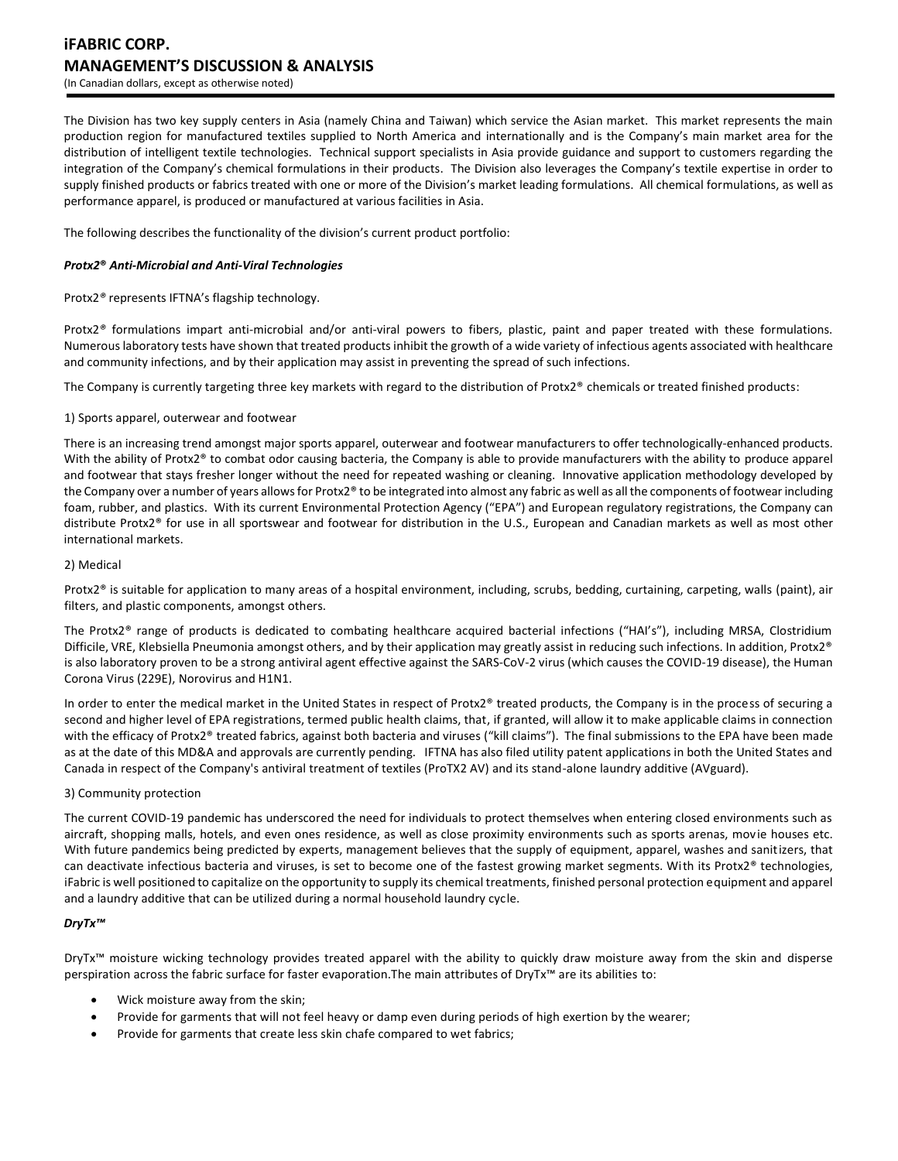# **iFABRIC CORP. MANAGEMENT'S DISCUSSION & ANALYSIS** (In Canadian dollars, except as otherwise noted)

The Division has two key supply centers in Asia (namely China and Taiwan) which service the Asian market. This market represents the main production region for manufactured textiles supplied to North America and internationally and is the Company's main market area for the distribution of intelligent textile technologies. Technical support specialists in Asia provide guidance and support to customers regarding the integration of the Company's chemical formulations in their products. The Division also leverages the Company's textile expertise in order to supply finished products or fabrics treated with one or more of the Division's market leading formulations. All chemical formulations, as well as performance apparel, is produced or manufactured at various facilities in Asia.

The following describes the functionality of the division's current product portfolio:

## *Protx2***®** *Anti-Microbial and Anti-Viral Technologies*

Protx2*®* represents IFTNA's flagship technology.

Protx2*®* formulations impart anti-microbial and/or anti-viral powers to fibers, plastic, paint and paper treated with these formulations. Numerous laboratory tests have shown that treated products inhibit the growth of a wide variety of infectious agents associated with healthcare and community infections, and by their application may assist in preventing the spread of such infections.

The Company is currently targeting three key markets with regard to the distribution of Protx2® chemicals or treated finished products:

## 1) Sports apparel, outerwear and footwear

There is an increasing trend amongst major sports apparel, outerwear and footwear manufacturers to offer technologically-enhanced products. With the ability of Protx2® to combat odor causing bacteria, the Company is able to provide manufacturers with the ability to produce apparel and footwear that stays fresher longer without the need for repeated washing or cleaning. Innovative application methodology developed by the Company over a number of years allows for Protx2® to be integrated into almost any fabric as well as all the components of footwear including foam, rubber, and plastics. With its current Environmental Protection Agency ("EPA") and European regulatory registrations, the Company can distribute Protx2® for use in all sportswear and footwear for distribution in the U.S., European and Canadian markets as well as most other international markets.

## 2) Medical

Protx2® is suitable for application to many areas of a hospital environment, including, scrubs, bedding, curtaining, carpeting, walls (paint), air filters, and plastic components, amongst others.

The Protx2® range of products is dedicated to combating healthcare acquired bacterial infections ("HAI's"), including MRSA, Clostridium Difficile, VRE, Klebsiella Pneumonia amongst others, and by their application may greatly assist in reducing such infections. In addition, Protx2® is also laboratory proven to be a strong antiviral agent effective against the SARS-CoV-2 virus (which causes the COVID-19 disease), the Human Corona Virus (229E), Norovirus and H1N1.

In order to enter the medical market in the United States in respect of Protx2® treated products, the Company is in the process of securing a second and higher level of EPA registrations, termed public health claims, that, if granted, will allow it to make applicable claims in connection with the efficacy of Protx2® treated fabrics, against both bacteria and viruses ("kill claims"). The final submissions to the EPA have been made as at the date of this MD&A and approvals are currently pending. IFTNA has also filed utility patent applications in both the United States and Canada in respect of the Company's antiviral treatment of textiles (ProTX2 AV) and its stand-alone laundry additive (AVguard).

#### 3) Community protection

The current COVID-19 pandemic has underscored the need for individuals to protect themselves when entering closed environments such as aircraft, shopping malls, hotels, and even ones residence, as well as close proximity environments such as sports arenas, movie houses etc. With future pandemics being predicted by experts, management believes that the supply of equipment, apparel, washes and sanitizers, that can deactivate infectious bacteria and viruses, is set to become one of the fastest growing market segments. With its Protx2® technologies, iFabric is well positioned to capitalize on the opportunity to supply its chemical treatments, finished personal protection equipment and apparel and a laundry additive that can be utilized during a normal household laundry cycle.

## *DryTx™*

DryTx™ moisture wicking technology provides treated apparel with the ability to quickly draw moisture away from the skin and disperse perspiration across the fabric surface for faster evaporation.The main attributes of DryTx™ are its abilities to:

- Wick moisture away from the skin;
- Provide for garments that will not feel heavy or damp even during periods of high exertion by the wearer;
- Provide for garments that create less skin chafe compared to wet fabrics;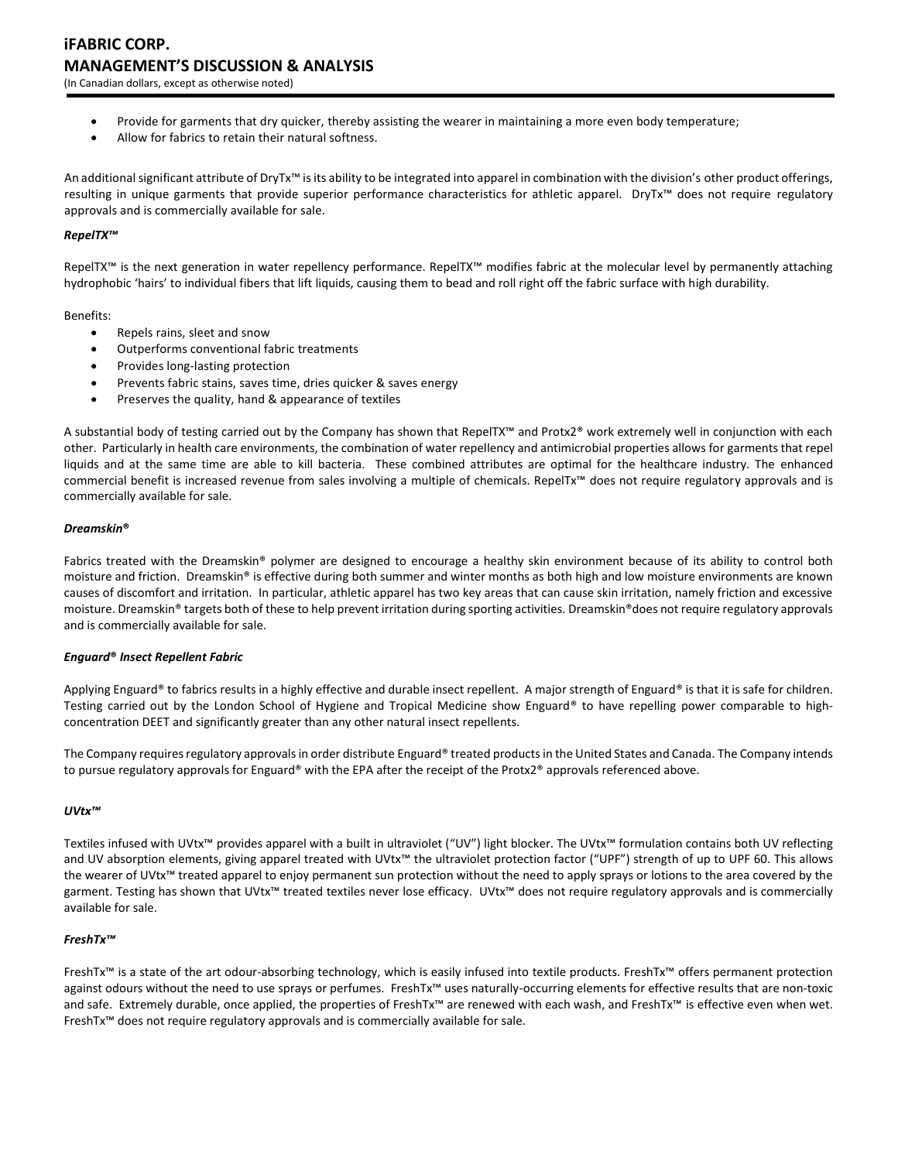- Provide for garments that dry quicker, thereby assisting the wearer in maintaining a more even body temperature;
- Allow for fabrics to retain their natural softness.

An additional significant attribute of DryTx<sup>™</sup> is its ability to be integrated into apparel in combination with the division's other product offerings, resulting in unique garments that provide superior performance characteristics for athletic apparel. DryTx™ does not require regulatory approvals and is commercially available for sale.

## *RepelTX™*

RepelTX™ is the next generation in water repellency performance. RepelTX™ modifies fabric at the molecular level by permanently attaching hydrophobic 'hairs' to individual fibers that lift liquids, causing them to bead and roll right off the fabric surface with high durability.

## Benefits:

- Repels rains, sleet and snow
- Outperforms conventional fabric treatments
- Provides long-lasting protection
- Prevents fabric stains, saves time, dries quicker & saves energy
- Preserves the quality, hand & appearance of textiles

A substantial body of testing carried out by the Company has shown that RepelTX™ and Protx2® work extremely well in conjunction with each other. Particularly in health care environments, the combination of water repellency and antimicrobial properties allows for garments that repel liquids and at the same time are able to kill bacteria. These combined attributes are optimal for the healthcare industry. The enhanced commercial benefit is increased revenue from sales involving a multiple of chemicals. RepelTx™ does not require regulatory approvals and is commercially available for sale.

## *Dreamskin***®**

Fabrics treated with the Dreamskin® polymer are designed to encourage a healthy skin environment because of its ability to control both moisture and friction. Dreamskin® is effective during both summer and winter months as both high and low moisture environments are known causes of discomfort and irritation. In particular, athletic apparel has two key areas that can cause skin irritation, namely friction and excessive moisture. Dreamskin® targets both of these to help prevent irritation during sporting activities. Dreamskin®does not require regulatory approvals and is commercially available for sale.

## *Enguard***®** *Insect Repellent Fabric*

Applying Enguard® to fabrics results in a highly effective and durable insect repellent. A major strength of Enguard® is that it is safe for children. Testing carried out by the London School of Hygiene and Tropical Medicine show Enguard® to have repelling power comparable to highconcentration DEET and significantly greater than any other natural insect repellents.

The Company requires regulatory approvals in order distribute Enguard® treated products in the United States and Canada. The Company intends to pursue regulatory approvals for Enguard® with the EPA after the receipt of the Protx2® approvals referenced above.

## *UVtx™*

Textiles infused with UVtx™ provides apparel with a built in ultraviolet ("UV") light blocker. The UVtx™ formulation contains both UV reflecting and UV absorption elements, giving apparel treated with UVtx™ the ultraviolet protection factor ("UPF") strength of up to UPF 60. This allows the wearer of UVtx™ treated apparel to enjoy permanent sun protection without the need to apply sprays or lotions to the area covered by the garment. Testing has shown that UVtx™ treated textiles never lose efficacy. UVtx™ does not require regulatory approvals and is commercially available for sale.

## *FreshTx™*

FreshTx™ is a state of the art odour-absorbing technology, which is easily infused into textile products. FreshTx™ offers permanent protection against odours without the need to use sprays or perfumes. FreshTx™ uses naturally-occurring elements for effective results that are non-toxic and safe. Extremely durable, once applied, the properties of FreshTx™ are renewed with each wash, and FreshTx™ is effective even when wet. FreshTx™ does not require regulatory approvals and is commercially available for sale.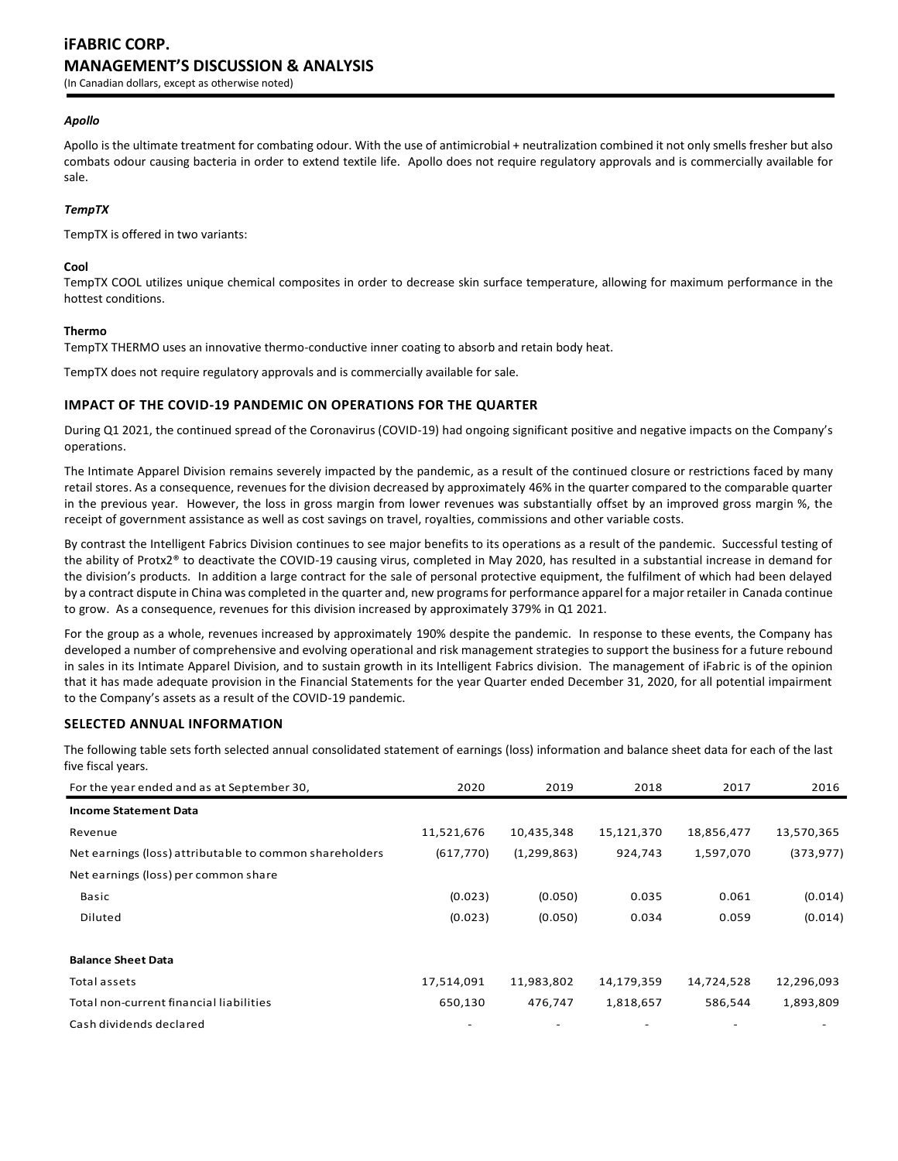# **iFABRIC CORP. MANAGEMENT'S DISCUSSION & ANALYSIS**

(In Canadian dollars, except as otherwise noted)

#### *Apollo*

Apollo is the ultimate treatment for combating odour. With the use of antimicrobial + neutralization combined it not only smells fresher but also combats odour causing bacteria in order to extend textile life. Apollo does not require regulatory approvals and is commercially available for sale.

#### *TempTX*

TempTX is offered in two variants:

#### **Cool**

TempTX COOL utilizes unique chemical composites in order to decrease skin surface temperature, allowing for maximum performance in the hottest conditions.

#### **Thermo**

TempTX THERMO uses an innovative thermo-conductive inner coating to absorb and retain body heat.

TempTX does not require regulatory approvals and is commercially available for sale.

## **IMPACT OF THE COVID-19 PANDEMIC ON OPERATIONS FOR THE QUARTER**

During Q1 2021, the continued spread of the Coronavirus (COVID-19) had ongoing significant positive and negative impacts on the Company's operations.

The Intimate Apparel Division remains severely impacted by the pandemic, as a result of the continued closure or restrictions faced by many retail stores. As a consequence, revenues for the division decreased by approximately 46% in the quarter compared to the comparable quarter in the previous year. However, the loss in gross margin from lower revenues was substantially offset by an improved gross margin %, the receipt of government assistance as well as cost savings on travel, royalties, commissions and other variable costs.

By contrast the Intelligent Fabrics Division continues to see major benefits to its operations as a result of the pandemic. Successful testing of the ability of Protx2® to deactivate the COVID-19 causing virus, completed in May 2020, has resulted in a substantial increase in demand for the division's products. In addition a large contract for the sale of personal protective equipment, the fulfilment of which had been delayed by a contract dispute in China was completed in the quarter and, new programs for performance apparel for a major retailer in Canada continue to grow. As a consequence, revenues for this division increased by approximately 379% in Q1 2021.

For the group as a whole, revenues increased by approximately 190% despite the pandemic. In response to these events, the Company has developed a number of comprehensive and evolving operational and risk management strategies to support the business for a future rebound in sales in its Intimate Apparel Division, and to sustain growth in its Intelligent Fabrics division. The management of iFabric is of the opinion that it has made adequate provision in the Financial Statements for the year Quarter ended December 31, 2020, for all potential impairment to the Company's assets as a result of the COVID-19 pandemic.

#### **SELECTED ANNUAL INFORMATION**

The following table sets forth selected annual consolidated statement of earnings (loss) information and balance sheet data for each of the last five fiscal years.

| For the year ended and as at September 30,              | 2020       | 2019          | 2018       | 2017       | 2016       |
|---------------------------------------------------------|------------|---------------|------------|------------|------------|
| <b>Income Statement Data</b>                            |            |               |            |            |            |
| Revenue                                                 | 11,521,676 | 10,435,348    | 15,121,370 | 18,856,477 | 13,570,365 |
| Net earnings (loss) attributable to common shareholders | (617, 770) | (1, 299, 863) | 924,743    | 1,597,070  | (373, 977) |
| Net earnings (loss) per common share                    |            |               |            |            |            |
| Basic                                                   | (0.023)    | (0.050)       | 0.035      | 0.061      | (0.014)    |
| Diluted                                                 | (0.023)    | (0.050)       | 0.034      | 0.059      | (0.014)    |
| <b>Balance Sheet Data</b>                               |            |               |            |            |            |
| Total assets                                            | 17,514,091 | 11,983,802    | 14,179,359 | 14,724,528 | 12,296,093 |
| Total non-current financial liabilities                 | 650,130    | 476,747       | 1,818,657  | 586,544    | 1,893,809  |
| Cash dividends declared                                 |            |               |            |            |            |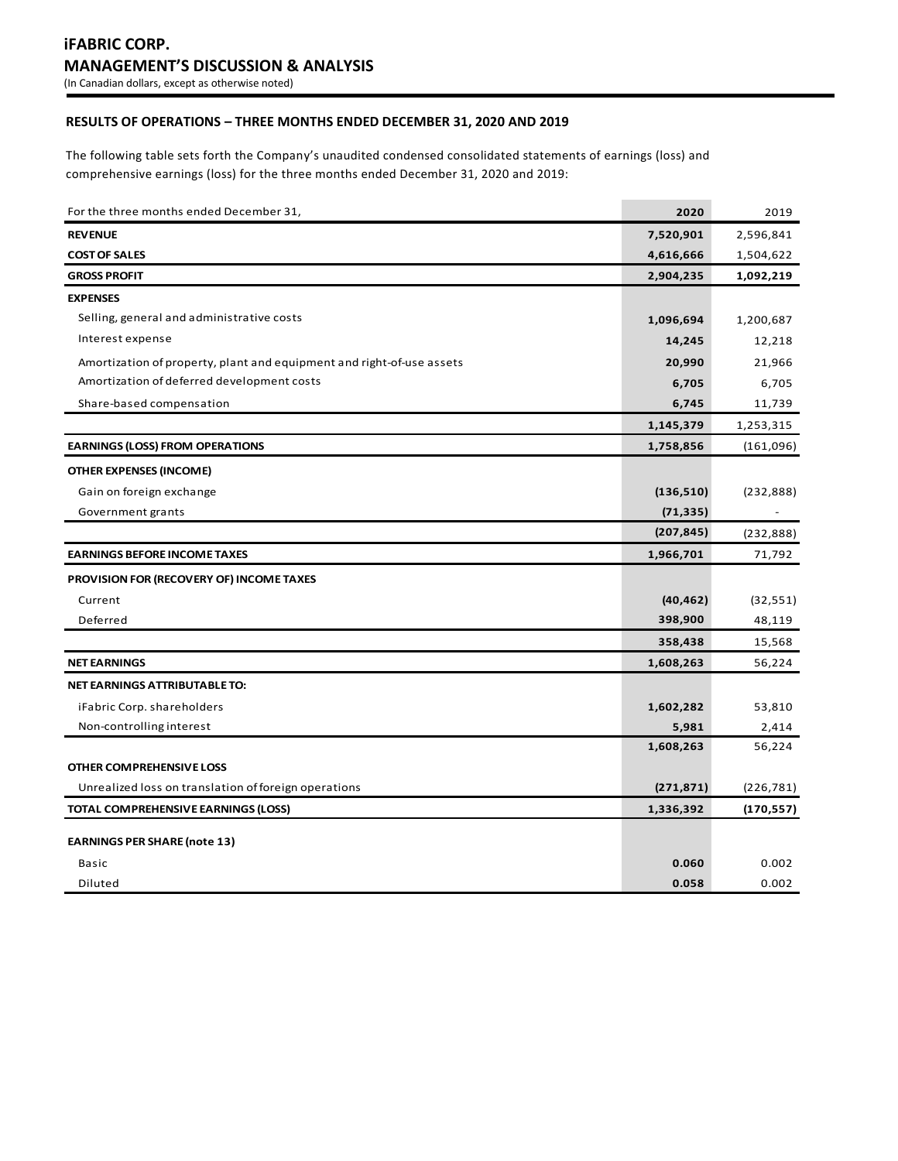# **RESULTS OF OPERATIONS – THREE MONTHS ENDED DECEMBER 31, 2020 AND 2019**

The following table sets forth the Company's unaudited condensed consolidated statements of earnings (loss) and comprehensive earnings (loss) for the three months ended December 31, 2020 and 2019:

| For the three months ended December 31,                               | 2020       | 2019       |
|-----------------------------------------------------------------------|------------|------------|
| <b>REVENUE</b>                                                        | 7,520,901  | 2,596,841  |
| <b>COST OF SALES</b>                                                  | 4,616,666  | 1,504,622  |
| <b>GROSS PROFIT</b>                                                   | 2,904,235  | 1,092,219  |
| <b>EXPENSES</b>                                                       |            |            |
| Selling, general and administrative costs                             | 1,096,694  | 1,200,687  |
| Interest expense                                                      | 14,245     | 12,218     |
| Amortization of property, plant and equipment and right-of-use assets | 20,990     | 21,966     |
| Amortization of deferred development costs                            | 6,705      | 6,705      |
| Share-based compensation                                              | 6,745      | 11,739     |
|                                                                       | 1,145,379  | 1,253,315  |
| <b>EARNINGS (LOSS) FROM OPERATIONS</b>                                | 1,758,856  | (161,096)  |
| <b>OTHER EXPENSES (INCOME)</b>                                        |            |            |
| Gain on foreign exchange                                              | (136, 510) | (232, 888) |
| Government grants                                                     | (71, 335)  |            |
|                                                                       | (207, 845) | (232, 888) |
| <b>EARNINGS BEFORE INCOME TAXES</b>                                   | 1,966,701  | 71,792     |
| PROVISION FOR (RECOVERY OF) INCOME TAXES                              |            |            |
| Current                                                               | (40, 462)  | (32, 551)  |
| Deferred                                                              | 398,900    | 48,119     |
|                                                                       | 358,438    | 15,568     |
| <b>NET EARNINGS</b>                                                   | 1,608,263  | 56,224     |
| NET EARNINGS ATTRIBUTABLE TO:                                         |            |            |
| iFabric Corp. shareholders                                            | 1,602,282  | 53,810     |
| Non-controlling interest                                              | 5,981      | 2,414      |
|                                                                       | 1,608,263  | 56,224     |
| OTHER COMPREHENSIVE LOSS                                              |            |            |
| Unrealized loss on translation of foreign operations                  | (271, 871) | (226,781)  |
| TOTAL COMPREHENSIVE EARNINGS (LOSS)                                   | 1,336,392  | (170,557)  |
| <b>EARNINGS PER SHARE (note 13)</b>                                   |            |            |
| Basic                                                                 | 0.060      | 0.002      |
| Diluted                                                               | 0.058      | 0.002      |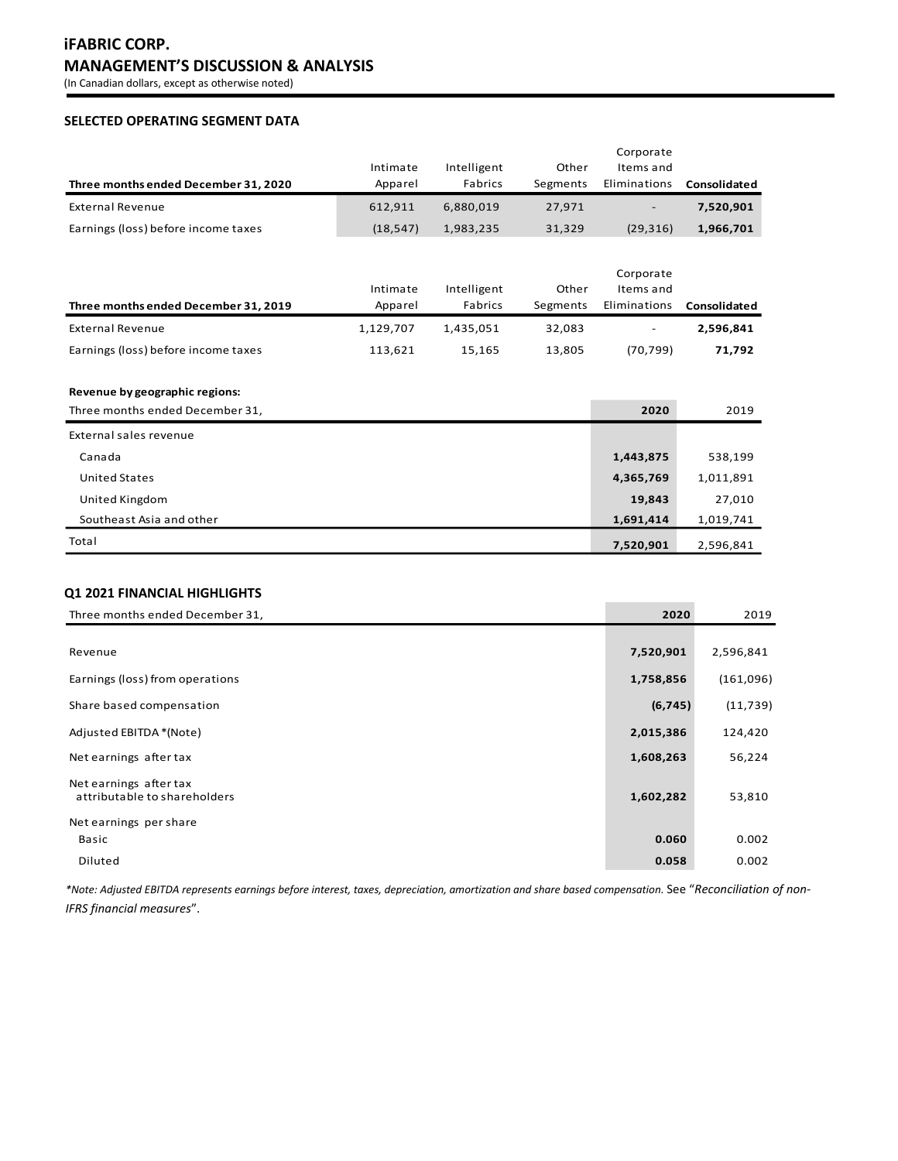# **iFABRIC CORP. MANAGEMENT'S DISCUSSION & ANALYSIS**

(In Canadian dollars, except as otherwise noted)

## **SELECTED OPERATING SEGMENT DATA**

|                                      |           |             |          | Corporate                |              |
|--------------------------------------|-----------|-------------|----------|--------------------------|--------------|
|                                      | Intimate  | Intelligent | Other    | Items and                |              |
| Three months ended December 31, 2020 | Apparel   | Fabrics     | Segments | Eliminations             | Consolidated |
| External Revenue                     | 612.911   | 6.880.019   | 27.971   | $\overline{\phantom{0}}$ | 7,520,901    |
| Earnings (loss) before income taxes  | (18, 547) | 1,983,235   | 31,329   | (29, 316)                | 1,966,701    |

|                                      |           |             |          | Corporate                |              |
|--------------------------------------|-----------|-------------|----------|--------------------------|--------------|
|                                      | Intimate  | Intelligent | Other    | Items and                |              |
| Three months ended December 31, 2019 | Apparel   | Fabrics     | Segments | Eliminations             | Consolidated |
| External Revenue                     | 1,129,707 | 1.435.051   | 32,083   | $\overline{\phantom{a}}$ | 2,596,841    |
| Earnings (loss) before income taxes  | 113.621   | 15.165      | 13,805   | (70, 799)                | 71,792       |

## **Revenue by geographic regions:**

| Three months ended December 31, | 2020      | 2019      |
|---------------------------------|-----------|-----------|
| External sales revenue          |           |           |
| Canada                          | 1,443,875 | 538,199   |
| <b>United States</b>            | 4,365,769 | 1,011,891 |
| United Kingdom                  | 19,843    | 27,010    |
| Southeast Asia and other        | 1,691,414 | 1,019,741 |
| Total                           | 7,520,901 | 2,596,841 |

## **Q1 2021 FINANCIAL HIGHLIGHTS**

| Three months ended December 31,                        | 2020      | 2019      |
|--------------------------------------------------------|-----------|-----------|
|                                                        |           |           |
| Revenue                                                | 7,520,901 | 2,596,841 |
| Earnings (loss) from operations                        | 1,758,856 | (161,096) |
| Share based compensation                               | (6, 745)  | (11, 739) |
| Adjusted EBITDA *(Note)                                | 2,015,386 | 124,420   |
| Net earnings after tax                                 | 1,608,263 | 56,224    |
| Net earnings after tax<br>attributable to shareholders | 1,602,282 | 53,810    |
| Net earnings per share                                 |           |           |
| Basic                                                  | 0.060     | 0.002     |
| Diluted                                                | 0.058     | 0.002     |

*\*Note: Adjusted EBITDA represents earnings before interest, taxes, depreciation, amortization and share based compensation.* See "*Reconciliation of non-IFRS financial measures*".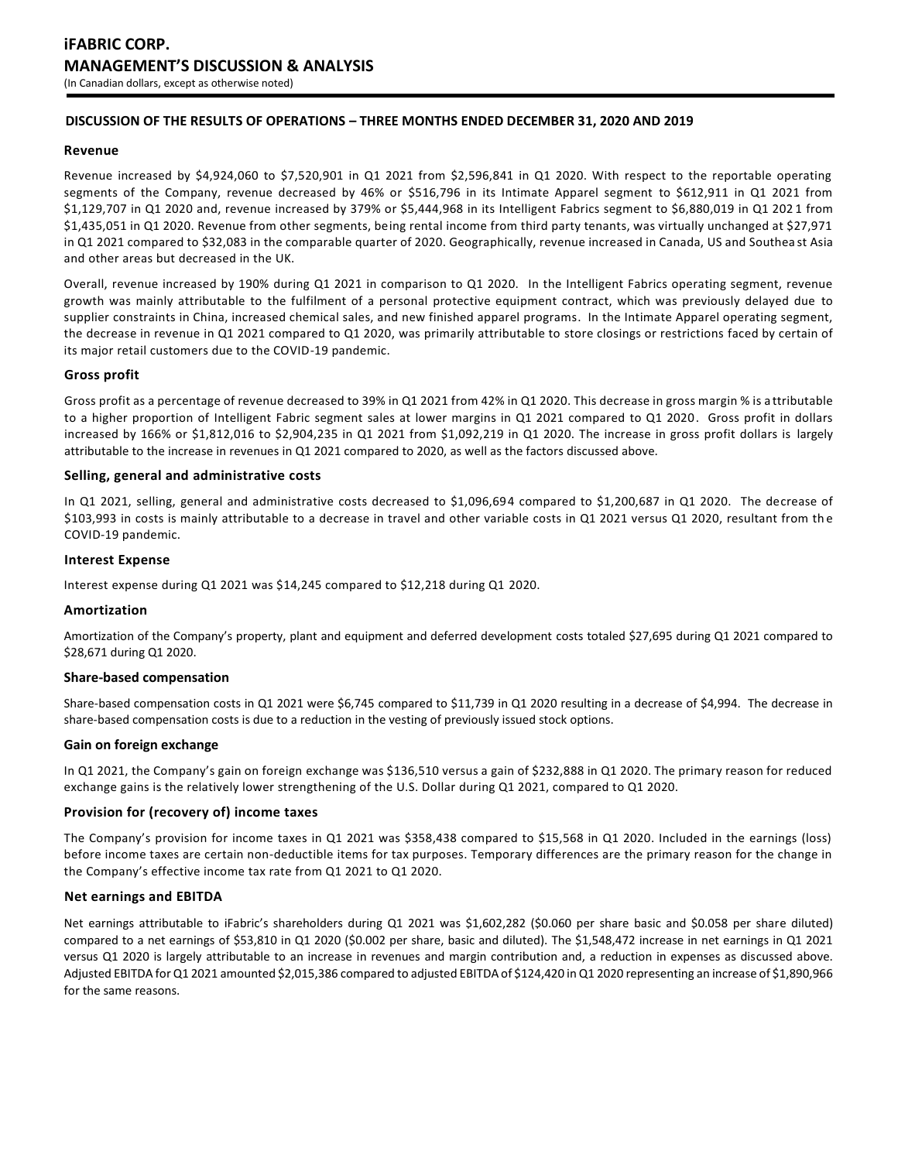## **DISCUSSION OF THE RESULTS OF OPERATIONS – THREE MONTHS ENDED DECEMBER 31, 2020 AND 2019**

## **Revenue**

Revenue increased by \$4,924,060 to \$7,520,901 in Q1 2021 from \$2,596,841 in Q1 2020. With respect to the reportable operating segments of the Company, revenue decreased by 46% or \$516,796 in its Intimate Apparel segment to \$612,911 in Q1 2021 from \$1,129,707 in Q1 2020 and, revenue increased by 379% or \$5,444,968 in its Intelligent Fabrics segment to \$6,880,019 in Q1 202 1 from \$1,435,051 in Q1 2020. Revenue from other segments, being rental income from third party tenants, was virtually unchanged at \$27,971 in Q1 2021 compared to \$32,083 in the comparable quarter of 2020. Geographically, revenue increased in Canada, US and Southea st Asia and other areas but decreased in the UK.

Overall, revenue increased by 190% during Q1 2021 in comparison to Q1 2020. In the Intelligent Fabrics operating segment, revenue growth was mainly attributable to the fulfilment of a personal protective equipment contract, which was previously delayed due to supplier constraints in China, increased chemical sales, and new finished apparel programs. In the Intimate Apparel operating segment, the decrease in revenue in Q1 2021 compared to Q1 2020, was primarily attributable to store closings or restrictions faced by certain of its major retail customers due to the COVID-19 pandemic.

## **Gross profit**

Gross profit as a percentage of revenue decreased to 39% in Q1 2021 from 42% in Q1 2020. This decrease in gross margin % is a ttributable to a higher proportion of Intelligent Fabric segment sales at lower margins in Q1 2021 compared to Q1 2020. Gross profit in dollars increased by 166% or \$1,812,016 to \$2,904,235 in Q1 2021 from \$1,092,219 in Q1 2020. The increase in gross profit dollars is largely attributable to the increase in revenues in Q1 2021 compared to 2020, as well as the factors discussed above.

## **Selling, general and administrative costs**

In Q1 2021, selling, general and administrative costs decreased to \$1,096,694 compared to \$1,200,687 in Q1 2020. The decrease of \$103,993 in costs is mainly attributable to a decrease in travel and other variable costs in Q1 2021 versus Q1 2020, resultant from the COVID-19 pandemic.

#### **Interest Expense**

Interest expense during Q1 2021 was \$14,245 compared to \$12,218 during Q1 2020.

#### **Amortization**

Amortization of the Company's property, plant and equipment and deferred development costs totaled \$27,695 during Q1 2021 compared to \$28,671 during Q1 2020.

#### **Share-based compensation**

Share-based compensation costs in Q1 2021 were \$6,745 compared to \$11,739 in Q1 2020 resulting in a decrease of \$4,994. The decrease in share-based compensation costs is due to a reduction in the vesting of previously issued stock options.

#### **Gain on foreign exchange**

In Q1 2021, the Company's gain on foreign exchange was \$136,510 versus a gain of \$232,888 in Q1 2020. The primary reason for reduced exchange gains is the relatively lower strengthening of the U.S. Dollar during Q1 2021, compared to Q1 2020.

#### **Provision for (recovery of) income taxes**

The Company's provision for income taxes in Q1 2021 was \$358,438 compared to \$15,568 in Q1 2020. Included in the earnings (loss) before income taxes are certain non-deductible items for tax purposes. Temporary differences are the primary reason for the change in the Company's effective income tax rate from Q1 2021 to Q1 2020.

## **Net earnings and EBITDA**

Net earnings attributable to iFabric's shareholders during Q1 2021 was \$1,602,282 (\$0.060 per share basic and \$0.058 per share diluted) compared to a net earnings of \$53,810 in Q1 2020 (\$0.002 per share, basic and diluted). The \$1,548,472 increase in net earnings in Q1 2021 versus Q1 2020 is largely attributable to an increase in revenues and margin contribution and, a reduction in expenses as discussed above. Adjusted EBITDA for Q1 2021 amounted \$2,015,386 compared to adjusted EBITDA of \$124,420 in Q1 2020 representing an increase of \$1,890,966 for the same reasons.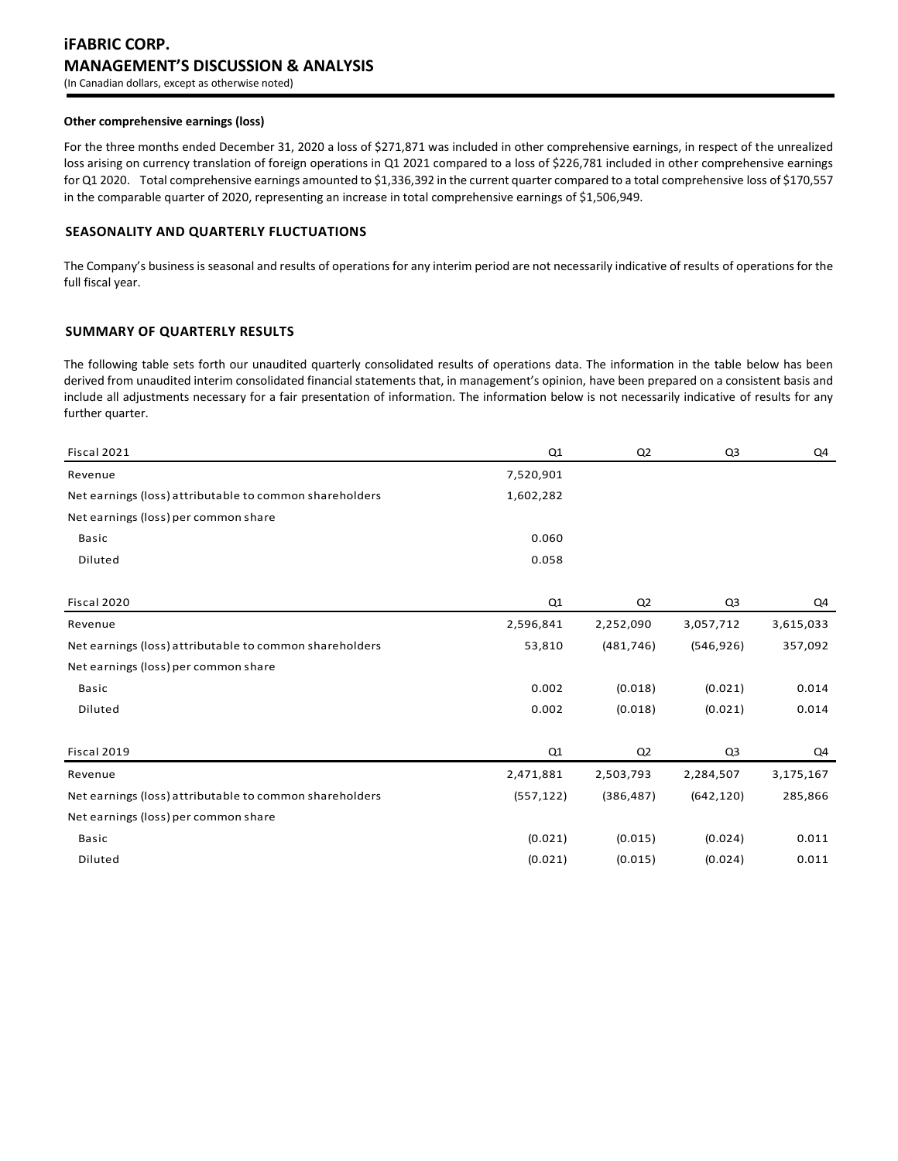# **iFABRIC CORP. MANAGEMENT'S DISCUSSION & ANALYSIS** (In Canadian dollars, except as otherwise noted)

#### **Other comprehensive earnings (loss)**

For the three months ended December 31, 2020 a loss of \$271,871 was included in other comprehensive earnings, in respect of the unrealized loss arising on currency translation of foreign operations in Q1 2021 compared to a loss of \$226,781 included in other comprehensive earnings for Q1 2020. Total comprehensive earnings amounted to \$1,336,392 in the current quarter compared to a total comprehensive loss of \$170,557 in the comparable quarter of 2020, representing an increase in total comprehensive earnings of \$1,506,949.

## **SEASONALITY AND QUARTERLY FLUCTUATIONS**

The Company's business is seasonal and results of operations for any interim period are not necessarily indicative of results of operations for the full fiscal year.

## **SUMMARY OF QUARTERLY RESULTS**

The following table sets forth our unaudited quarterly consolidated results of operations data. The information in the table below has been derived from unaudited interim consolidated financial statements that, in management's opinion, have been prepared on a consistent basis and include all adjustments necessary for a fair presentation of information. The information below is not necessarily indicative of results for any further quarter.

| Fiscal 2021                                             | Q <sub>1</sub> | Q <sub>2</sub> | Q <sub>3</sub> | Q4        |
|---------------------------------------------------------|----------------|----------------|----------------|-----------|
| Revenue                                                 | 7,520,901      |                |                |           |
| Net earnings (loss) attributable to common shareholders | 1,602,282      |                |                |           |
| Net earnings (loss) per common share                    |                |                |                |           |
| <b>Basic</b>                                            | 0.060          |                |                |           |
| Diluted                                                 | 0.058          |                |                |           |
| Fiscal 2020                                             | Q1             | Q <sub>2</sub> | Q <sub>3</sub> | Q4        |
| Revenue                                                 | 2,596,841      | 2,252,090      | 3,057,712      | 3,615,033 |
| Net earnings (loss) attributable to common shareholders | 53,810         | (481, 746)     | (546, 926)     | 357,092   |
| Net earnings (loss) per common share                    |                |                |                |           |
| <b>Basic</b>                                            | 0.002          | (0.018)        | (0.021)        | 0.014     |
| Diluted                                                 | 0.002          | (0.018)        | (0.021)        | 0.014     |
| Fiscal 2019                                             | Q1             | Q <sub>2</sub> | Q <sub>3</sub> | Q4        |
| Revenue                                                 | 2,471,881      | 2,503,793      | 2,284,507      | 3,175,167 |
| Net earnings (loss) attributable to common shareholders | (557, 122)     | (386, 487)     | (642, 120)     | 285,866   |
| Net earnings (loss) per common share                    |                |                |                |           |
| <b>Basic</b>                                            | (0.021)        | (0.015)        | (0.024)        | 0.011     |
| Diluted                                                 | (0.021)        | (0.015)        | (0.024)        | 0.011     |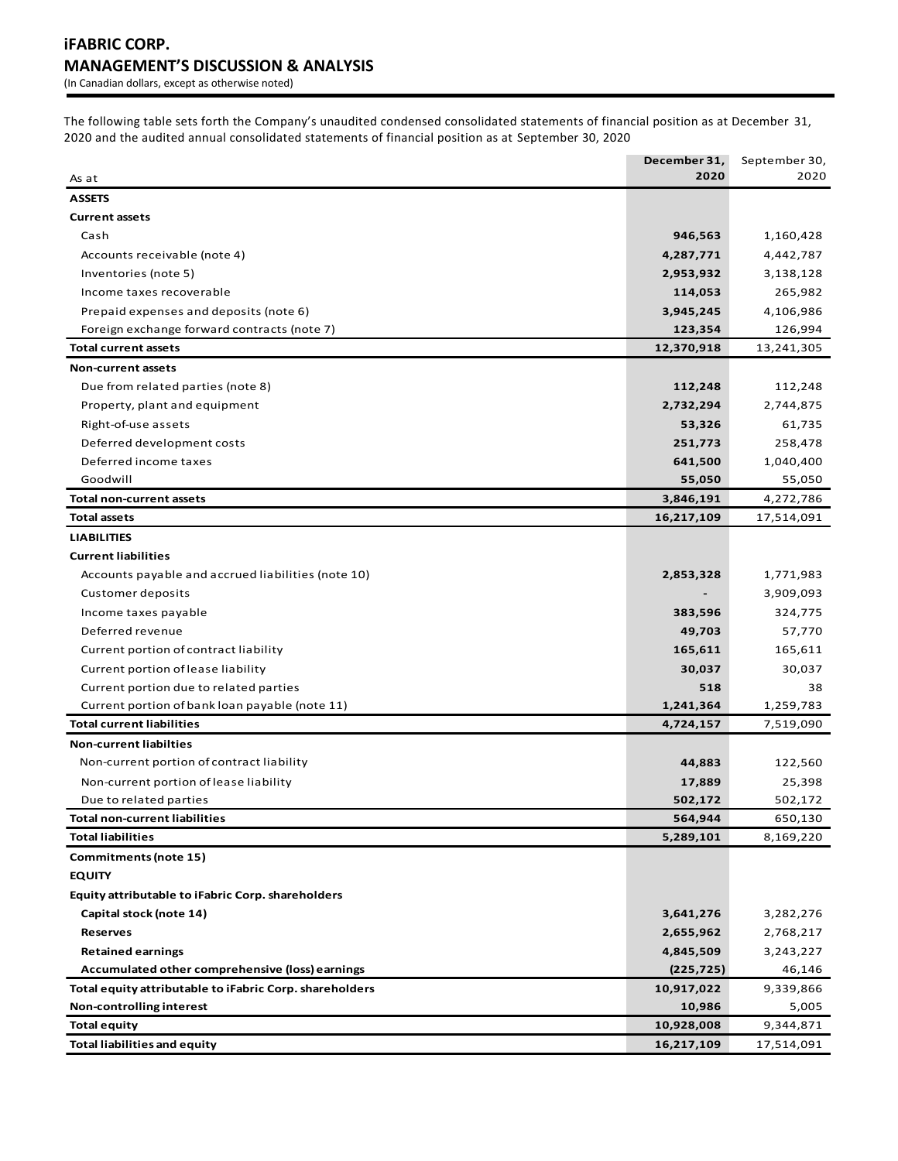The following table sets forth the Company's unaudited condensed consolidated statements of financial position as at December 31, 2020 and the audited annual consolidated statements of financial position as at September 30, 2020

|                                                         | December 31, | September 30, |
|---------------------------------------------------------|--------------|---------------|
| As at                                                   | 2020         | 2020          |
| <b>ASSETS</b>                                           |              |               |
| <b>Current assets</b>                                   |              |               |
| Cash                                                    | 946,563      | 1,160,428     |
| Accounts receivable (note 4)                            | 4,287,771    | 4,442,787     |
| Inventories (note 5)                                    | 2,953,932    | 3,138,128     |
| Income taxes recoverable                                | 114,053      | 265,982       |
| Prepaid expenses and deposits (note 6)                  | 3,945,245    | 4,106,986     |
| Foreign exchange forward contracts (note 7)             | 123,354      | 126,994       |
| <b>Total current assets</b>                             | 12,370,918   | 13,241,305    |
| <b>Non-current assets</b>                               |              |               |
| Due from related parties (note 8)                       | 112,248      | 112,248       |
| Property, plant and equipment                           | 2,732,294    | 2,744,875     |
| Right-of-use assets                                     | 53,326       | 61,735        |
| Deferred development costs                              | 251,773      | 258,478       |
| Deferred income taxes                                   | 641,500      | 1,040,400     |
| Goodwill                                                | 55,050       | 55,050        |
| <b>Total non-current assets</b>                         | 3,846,191    | 4,272,786     |
| Total assets                                            | 16,217,109   | 17,514,091    |
| <b>LIABILITIES</b>                                      |              |               |
| <b>Current liabilities</b>                              |              |               |
| Accounts payable and accrued liabilities (note 10)      | 2,853,328    | 1,771,983     |
| Customer deposits                                       |              | 3,909,093     |
| Income taxes payable                                    | 383,596      | 324,775       |
| Deferred revenue                                        | 49,703       | 57,770        |
| Current portion of contract liability                   | 165,611      | 165,611       |
| Current portion of lease liability                      | 30,037       | 30,037        |
| Current portion due to related parties                  | 518          | 38            |
| Current portion of bank loan payable (note 11)          | 1,241,364    | 1,259,783     |
| <b>Total current liabilities</b>                        | 4,724,157    | 7,519,090     |
| <b>Non-current liabilties</b>                           |              |               |
| Non-current portion of contract liability               | 44,883       | 122,560       |
| Non-current portion of lease liability                  | 17,889       | 25,398        |
| Due to related parties                                  | 502,172      | 502,172       |
| <b>Total non-current liabilities</b>                    | 564,944      | 650,130       |
| <b>Total liabilities</b>                                | 5,289,101    | 8,169,220     |
| Commitments (note 15)                                   |              |               |
| <b>EQUITY</b>                                           |              |               |
| Equity attributable to iFabric Corp. shareholders       |              |               |
| Capital stock (note 14)                                 | 3,641,276    | 3,282,276     |
| <b>Reserves</b>                                         | 2,655,962    | 2,768,217     |
| <b>Retained earnings</b>                                | 4,845,509    | 3,243,227     |
| Accumulated other comprehensive (loss) earnings         | (225, 725)   | 46,146        |
| Total equity attributable to iFabric Corp. shareholders | 10,917,022   | 9,339,866     |
| Non-controlling interest                                | 10,986       | 5,005         |
| <b>Total equity</b>                                     | 10,928,008   | 9,344,871     |
| <b>Total liabilities and equity</b>                     | 16,217,109   | 17,514,091    |
|                                                         |              |               |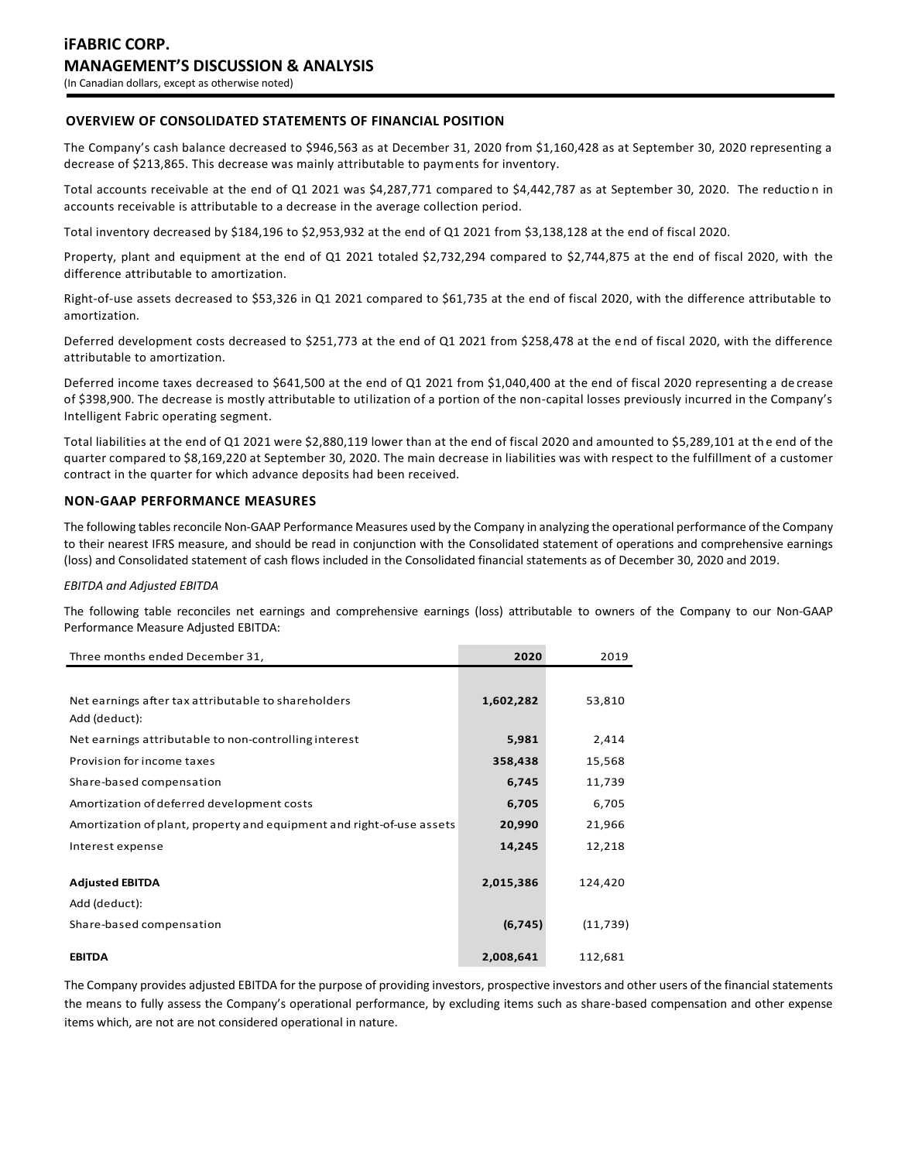## **OVERVIEW OF CONSOLIDATED STATEMENTS OF FINANCIAL POSITION**

The Company's cash balance decreased to \$946,563 as at December 31, 2020 from \$1,160,428 as at September 30, 2020 representing a decrease of \$213,865. This decrease was mainly attributable to payments for inventory.

Total accounts receivable at the end of Q1 2021 was \$4,287,771 compared to \$4,442,787 as at September 30, 2020. The reductio n in accounts receivable is attributable to a decrease in the average collection period.

Total inventory decreased by \$184,196 to \$2,953,932 at the end of Q1 2021 from \$3,138,128 at the end of fiscal 2020.

Property, plant and equipment at the end of Q1 2021 totaled \$2,732,294 compared to \$2,744,875 at the end of fiscal 2020, with the difference attributable to amortization.

Right-of-use assets decreased to \$53,326 in Q1 2021 compared to \$61,735 at the end of fiscal 2020, with the difference attributable to amortization.

Deferred development costs decreased to \$251,773 at the end of Q1 2021 from \$258,478 at the end of fiscal 2020, with the difference attributable to amortization.

Deferred income taxes decreased to \$641,500 at the end of Q1 2021 from \$1,040,400 at the end of fiscal 2020 representing a de crease of \$398,900. The decrease is mostly attributable to utilization of a portion of the non-capital losses previously incurred in the Company's Intelligent Fabric operating segment.

Total liabilities at the end of Q1 2021 were \$2,880,119 lower than at the end of fiscal 2020 and amounted to \$5,289,101 at th e end of the quarter compared to \$8,169,220 at September 30, 2020. The main decrease in liabilities was with respect to the fulfillment of a customer contract in the quarter for which advance deposits had been received.

## **NON-GAAP PERFORMANCE MEASURES**

The following tables reconcile Non-GAAP Performance Measures used by the Company in analyzing the operational performance of the Company to their nearest IFRS measure, and should be read in conjunction with the Consolidated statement of operations and comprehensive earnings (loss) and Consolidated statement of cash flows included in the Consolidated financial statements as of December 30, 2020 and 2019.

#### *EBITDA and Adjusted EBITDA*

The following table reconciles net earnings and comprehensive earnings (loss) attributable to owners of the Company to our Non-GAAP Performance Measure Adjusted EBITDA:

| Three months ended December 31,                                       | 2020      | 2019      |
|-----------------------------------------------------------------------|-----------|-----------|
|                                                                       |           |           |
| Net earnings after tax attributable to shareholders<br>Add (deduct):  | 1,602,282 | 53,810    |
| Net earnings attributable to non-controlling interest                 | 5,981     | 2,414     |
| Provision for income taxes                                            | 358,438   | 15,568    |
| Share-based compensation                                              | 6,745     | 11,739    |
| Amortization of deferred development costs                            | 6,705     | 6,705     |
| Amortization of plant, property and equipment and right-of-use assets | 20,990    | 21,966    |
| Interest expense                                                      | 14,245    | 12,218    |
|                                                                       |           |           |
| <b>Adjusted EBITDA</b>                                                | 2,015,386 | 124,420   |
| Add (deduct):                                                         |           |           |
| Share-based compensation                                              | (6, 745)  | (11, 739) |
| <b>EBITDA</b>                                                         | 2,008,641 | 112,681   |

The Company provides adjusted EBITDA for the purpose of providing investors, prospective investors and other users of the financial statements the means to fully assess the Company's operational performance, by excluding items such as share-based compensation and other expense items which, are not are not considered operational in nature.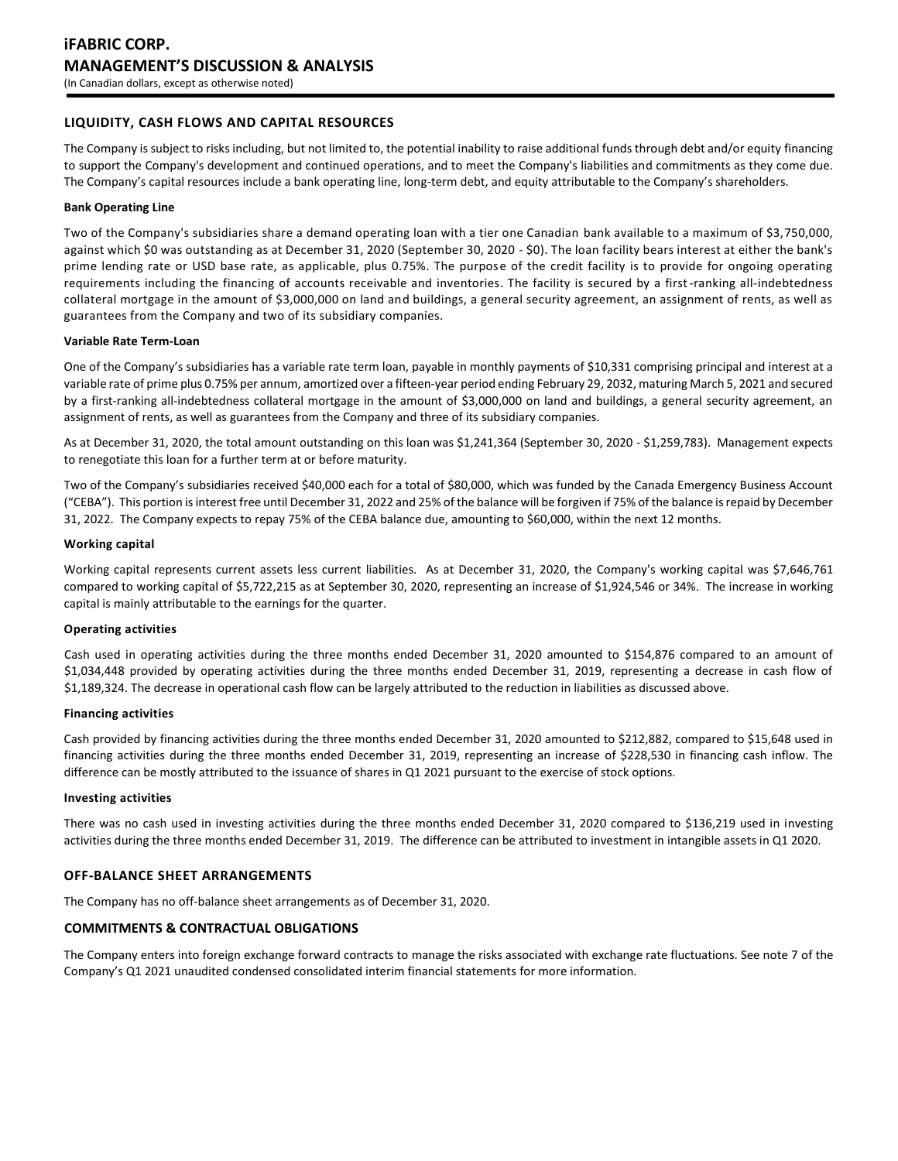## **LIQUIDITY, CASH FLOWS AND CAPITAL RESOURCES**

The Company is subject to risks including, but not limited to, the potential inability to raise additional funds through debt and/or equity financing to support the Company's development and continued operations, and to meet the Company's liabilities and commitments as they come due. The Company's capital resources include a bank operating line, long-term debt, and equity attributable to the Company's shareholders.

#### **Bank Operating Line**

Two of the Company's subsidiaries share a demand operating loan with a tier one Canadian bank available to a maximum of \$3,750,000, against which \$0 was outstanding as at December 31, 2020 (September 30, 2020 - \$0). The loan facility bears interest at either the bank's prime lending rate or USD base rate, as applicable, plus 0.75%. The purpose of the credit facility is to provide for ongoing operating requirements including the financing of accounts receivable and inventories. The facility is secured by a first-ranking all-indebtedness collateral mortgage in the amount of \$3,000,000 on land and buildings, a general security agreement, an assignment of rents, as well as guarantees from the Company and two of its subsidiary companies.

#### **Variable Rate Term-Loan**

One of the Company's subsidiaries has a variable rate term loan, payable in monthly payments of \$10,331 comprising principal and interest at a variable rate of prime plus 0.75% per annum, amortized over a fifteen-year period ending February 29, 2032, maturing March 5, 2021 and secured by a first-ranking all-indebtedness collateral mortgage in the amount of \$3,000,000 on land and buildings, a general security agreement, an assignment of rents, as well as guarantees from the Company and three of its subsidiary companies.

As at December 31, 2020, the total amount outstanding on this loan was \$1,241,364 (September 30, 2020 - \$1,259,783). Management expects to renegotiate this loan for a further term at or before maturity.

Two of the Company's subsidiaries received \$40,000 each for a total of \$80,000, which was funded by the Canada Emergency Business Account ("CEBA"). This portion is interest free until December 31, 2022 and 25% of the balance will be forgiven if 75% of the balance is repaid by December 31, 2022. The Company expects to repay 75% of the CEBA balance due, amounting to \$60,000, within the next 12 months.

#### **Working capital**

Working capital represents current assets less current liabilities. As at December 31, 2020, the Company's working capital was \$7,646,761 compared to working capital of \$5,722,215 as at September 30, 2020, representing an increase of \$1,924,546 or 34%. The increase in working capital is mainly attributable to the earnings for the quarter.

#### **Operating activities**

Cash used in operating activities during the three months ended December 31, 2020 amounted to \$154,876 compared to an amount of \$1,034,448 provided by operating activities during the three months ended December 31, 2019, representing a decrease in cash flow of \$1,189,324. The decrease in operational cash flow can be largely attributed to the reduction in liabilities as discussed above.

#### **Financing activities**

Cash provided by financing activities during the three months ended December 31, 2020 amounted to \$212,882, compared to \$15,648 used in financing activities during the three months ended December 31, 2019, representing an increase of \$228,530 in financing cash inflow. The difference can be mostly attributed to the issuance of shares in Q1 2021 pursuant to the exercise of stock options.

#### **Investing activities**

There was no cash used in investing activities during the three months ended December 31, 2020 compared to \$136,219 used in investing activities during the three months ended December 31, 2019. The difference can be attributed to investment in intangible assets in Q1 2020.

## **OFF-BALANCE SHEET ARRANGEMENTS**

The Company has no off-balance sheet arrangements as of December 31, 2020.

## **COMMITMENTS & CONTRACTUAL OBLIGATIONS**

The Company enters into foreign exchange forward contracts to manage the risks associated with exchange rate fluctuations. See note 7 of the Company's Q1 2021 unaudited condensed consolidated interim financial statements for more information.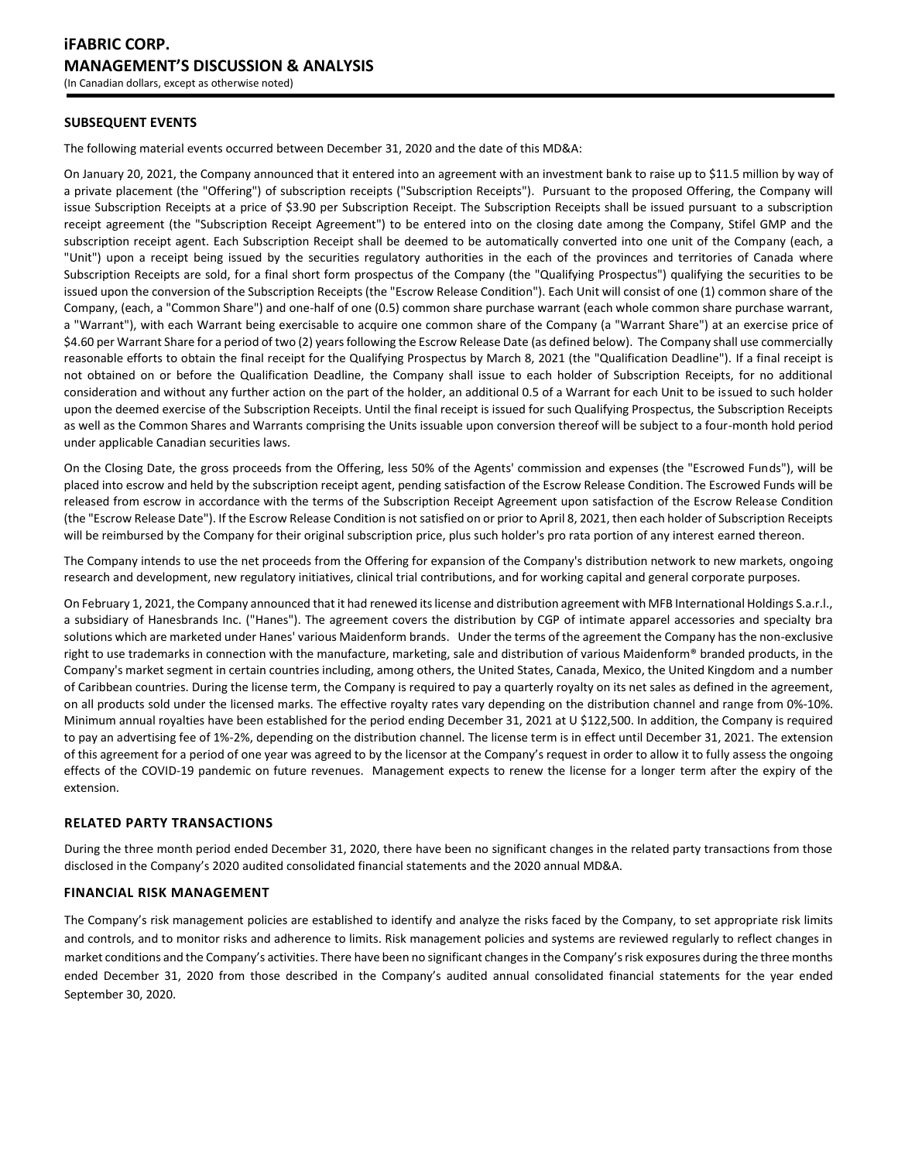## **SUBSEQUENT EVENTS**

The following material events occurred between December 31, 2020 and the date of this MD&A:

On January 20, 2021, the Company announced that it entered into an agreement with an investment bank to raise up to \$11.5 million by way of a private placement (the "Offering") of subscription receipts ("Subscription Receipts"). Pursuant to the proposed Offering, the Company will issue Subscription Receipts at a price of \$3.90 per Subscription Receipt. The Subscription Receipts shall be issued pursuant to a subscription receipt agreement (the "Subscription Receipt Agreement") to be entered into on the closing date among the Company, Stifel GMP and the subscription receipt agent. Each Subscription Receipt shall be deemed to be automatically converted into one unit of the Company (each, a "Unit") upon a receipt being issued by the securities regulatory authorities in the each of the provinces and territories of Canada where Subscription Receipts are sold, for a final short form prospectus of the Company (the "Qualifying Prospectus") qualifying the securities to be issued upon the conversion of the Subscription Receipts (the "Escrow Release Condition"). Each Unit will consist of one (1) common share of the Company, (each, a "Common Share") and one-half of one (0.5) common share purchase warrant (each whole common share purchase warrant, a "Warrant"), with each Warrant being exercisable to acquire one common share of the Company (a "Warrant Share") at an exercise price of \$4.60 per Warrant Share for a period of two (2) years following the Escrow Release Date (as defined below). The Company shall use commercially reasonable efforts to obtain the final receipt for the Qualifying Prospectus by March 8, 2021 (the "Qualification Deadline"). If a final receipt is not obtained on or before the Qualification Deadline, the Company shall issue to each holder of Subscription Receipts, for no additional consideration and without any further action on the part of the holder, an additional 0.5 of a Warrant for each Unit to be issued to such holder upon the deemed exercise of the Subscription Receipts. Until the final receipt is issued for such Qualifying Prospectus, the Subscription Receipts as well as the Common Shares and Warrants comprising the Units issuable upon conversion thereof will be subject to a four-month hold period under applicable Canadian securities laws.

On the Closing Date, the gross proceeds from the Offering, less 50% of the Agents' commission and expenses (the "Escrowed Funds"), will be placed into escrow and held by the subscription receipt agent, pending satisfaction of the Escrow Release Condition. The Escrowed Funds will be released from escrow in accordance with the terms of the Subscription Receipt Agreement upon satisfaction of the Escrow Release Condition (the "Escrow Release Date"). If the Escrow Release Condition is not satisfied on or prior to April 8, 2021, then each holder of Subscription Receipts will be reimbursed by the Company for their original subscription price, plus such holder's pro rata portion of any interest earned thereon.

The Company intends to use the net proceeds from the Offering for expansion of the Company's distribution network to new markets, ongoing research and development, new regulatory initiatives, clinical trial contributions, and for working capital and general corporate purposes.

On February 1, 2021, the Company announced that it had renewed its license and distribution agreement with MFB International Holdings S.a.r.l., a subsidiary of Hanesbrands Inc. ("Hanes"). The agreement covers the distribution by CGP of intimate apparel accessories and specialty bra solutions which are marketed under Hanes' various Maidenform brands. Under the terms of the agreement the Company has the non-exclusive right to use trademarks in connection with the manufacture, marketing, sale and distribution of various Maidenform® branded products, in the Company's market segment in certain countries including, among others, the United States, Canada, Mexico, the United Kingdom and a number of Caribbean countries. During the license term, the Company is required to pay a quarterly royalty on its net sales as defined in the agreement, on all products sold under the licensed marks. The effective royalty rates vary depending on the distribution channel and range from 0%-10%. Minimum annual royalties have been established for the period ending December 31, 2021 at U \$122,500. In addition, the Company is required to pay an advertising fee of 1%-2%, depending on the distribution channel. The license term is in effect until December 31, 2021. The extension of this agreement for a period of one year was agreed to by the licensor at the Company's request in order to allow it to fully assess the ongoing effects of the COVID-19 pandemic on future revenues. Management expects to renew the license for a longer term after the expiry of the extension.

## **RELATED PARTY TRANSACTIONS**

During the three month period ended December 31, 2020, there have been no significant changes in the related party transactions from those disclosed in the Company's 2020 audited consolidated financial statements and the 2020 annual MD&A.

## **FINANCIAL RISK MANAGEMENT**

The Company's risk management policies are established to identify and analyze the risks faced by the Company, to set appropriate risk limits and controls, and to monitor risks and adherence to limits. Risk management policies and systems are reviewed regularly to reflect changes in market conditions and the Company's activities. There have been no significant changes in the Company's risk exposures during the three months ended December 31, 2020 from those described in the Company's audited annual consolidated financial statements for the year ended September 30, 2020.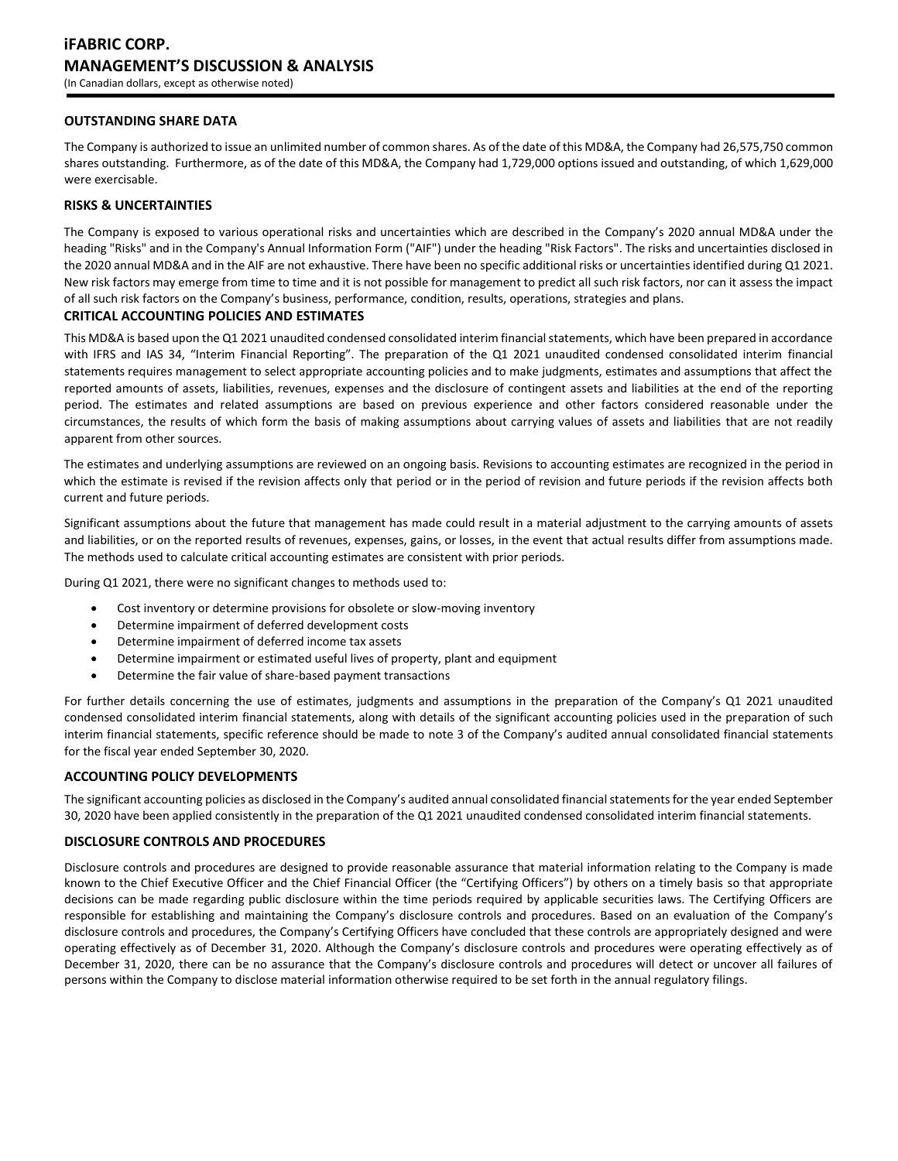## **OUTSTANDING SHARE DATA**

The Company is authorized to issue an unlimited number of common shares. As of the date of this MD&A, the Company had 26,575,750 common shares outstanding. Furthermore, as of the date of this MD&A, the Company had 1,729,000 options issued and outstanding, of which 1,629,000 were exercisable.

## **RISKS & UNCERTAINTIES**

The Company is exposed to various operational risks and uncertainties which are described in the Company's 2020 annual MD&A under the heading "Risks" and in the Company's Annual Information Form ("AIF") under the heading "Risk Factors". The risks and uncertainties disclosed in the 2020 annual MD&A and in the AIF are not exhaustive. There have been no specific additional risks or uncertainties identified during Q1 2021. New risk factors may emerge from time to time and it is not possible for management to predict all such risk factors, nor can it assess the impact of all such risk factors on the Company's business, performance, condition, results, operations, strategies and plans.

## **CRITICAL ACCOUNTING POLICIES AND ESTIMATES**

This MD&A is based upon the Q1 2021 unaudited condensed consolidated interim financial statements, which have been prepared in accordance with IFRS and IAS 34, "Interim Financial Reporting". The preparation of the Q1 2021 unaudited condensed consolidated interim financial statements requires management to select appropriate accounting policies and to make judgments, estimates and assumptions that affect the reported amounts of assets, liabilities, revenues, expenses and the disclosure of contingent assets and liabilities at the end of the reporting period. The estimates and related assumptions are based on previous experience and other factors considered reasonable under the circumstances, the results of which form the basis of making assumptions about carrying values of assets and liabilities that are not readily apparent from other sources.

The estimates and underlying assumptions are reviewed on an ongoing basis. Revisions to accounting estimates are recognized in the period in which the estimate is revised if the revision affects only that period or in the period of revision and future periods if the revision affects both current and future periods.

Significant assumptions about the future that management has made could result in a material adjustment to the carrying amounts of assets and liabilities, or on the reported results of revenues, expenses, gains, or losses, in the event that actual results differ from assumptions made. The methods used to calculate critical accounting estimates are consistent with prior periods.

During Q1 2021, there were no significant changes to methods used to:

- Cost inventory or determine provisions for obsolete or slow-moving inventory
- Determine impairment of deferred development costs
- Determine impairment of deferred income tax assets
- Determine impairment or estimated useful lives of property, plant and equipment
- Determine the fair value of share-based payment transactions

For further details concerning the use of estimates, judgments and assumptions in the preparation of the Company's Q1 2021 unaudited condensed consolidated interim financial statements, along with details of the significant accounting policies used in the preparation of such interim financial statements, specific reference should be made to note 3 of the Company's audited annual consolidated financial statements for the fiscal year ended September 30, 2020.

## **ACCOUNTING POLICY DEVELOPMENTS**

The significant accounting policies as disclosed in the Company's audited annual consolidated financial statements for the year ended September 30, 2020 have been applied consistently in the preparation of the Q1 2021 unaudited condensed consolidated interim financial statements.

#### **DISCLOSURE CONTROLS AND PROCEDURES**

Disclosure controls and procedures are designed to provide reasonable assurance that material information relating to the Company is made known to the Chief Executive Officer and the Chief Financial Officer (the "Certifying Officers") by others on a timely basis so that appropriate decisions can be made regarding public disclosure within the time periods required by applicable securities laws. The Certifying Officers are responsible for establishing and maintaining the Company's disclosure controls and procedures. Based on an evaluation of the Company's disclosure controls and procedures, the Company's Certifying Officers have concluded that these controls are appropriately designed and were operating effectively as of December 31, 2020. Although the Company's disclosure controls and procedures were operating effectively as of December 31, 2020, there can be no assurance that the Company's disclosure controls and procedures will detect or uncover all failures of persons within the Company to disclose material information otherwise required to be set forth in the annual regulatory filings.